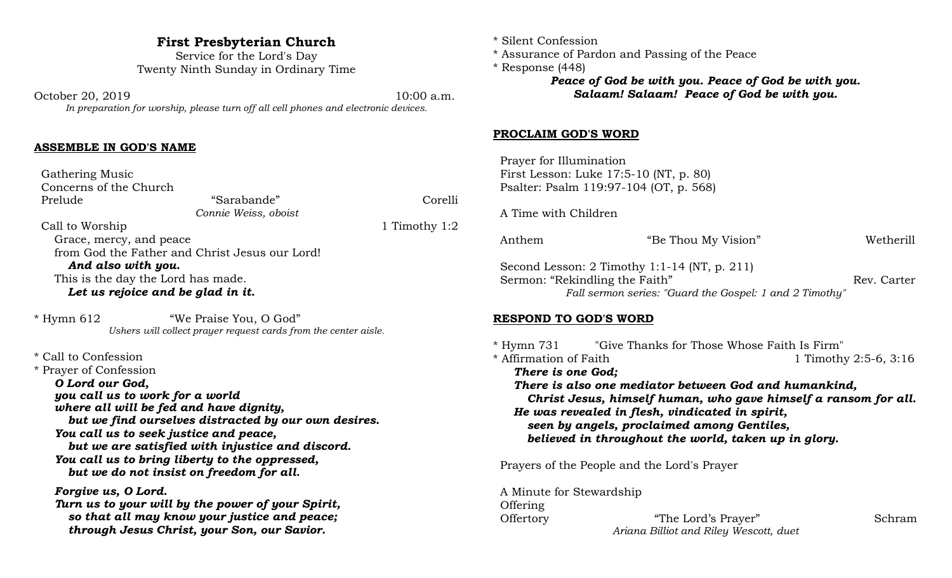## **First Presbyterian Church**

Service for the Lord's Day Twenty Ninth Sunday in Ordinary Time

October 20, 2019 10:00 a.m. *In preparation for worship, please turn off all cell phones and electronic devices.*

## **ASSEMBLE IN GOD'S NAME**

 Gathering Music Concerns of the Church Prelude "Sarabande" Corelli *Connie Weiss, oboist* Call to Worship 1:2 Grace, mercy, and peace from God the Father and Christ Jesus our Lord! *And also with you.* This is the day the Lord has made. *Let us rejoice and be glad in it.*

\* Hymn 612 "We Praise You, O God" *Ushers will collect prayer request cards from the center aisle.*

\* Call to Confession

\* Prayer of Confession *O Lord our God, you call us to work for a world where all will be fed and have dignity, but we find ourselves distracted by our own desires. You call us to seek justice and peace, but we are satisfied with injustice and discord. You call us to bring liberty to the oppressed, but we do not insist on freedom for all. Forgive us, O Lord.*

*Turn us to your will by the power of your Spirit, so that all may know your justice and peace; through Jesus Christ, your Son, our Savior.*

- \* Silent Confession
- \* Assurance of Pardon and Passing of the Peace
- \* Response (448)

*Peace of God be with you. Peace of God be with you. Salaam! Salaam! Peace of God be with you.*

### **PROCLAIM GOD'S WORD**

 Prayer for Illumination First Lesson: Luke 17:5-10 (NT, p. 80) Psalter: Psalm 119:97-104 (OT, p. 568)

A Time with Children

| Anthem                                                                                                                                      | "Be Thou My Vision" |             | Wetherill |
|---------------------------------------------------------------------------------------------------------------------------------------------|---------------------|-------------|-----------|
| Second Lesson: $2$ Timothy 1:1-14 (NT, p. 211)<br>Sermon: "Rekindling the Faith"<br>Fall sermon series: "Guard the Gospel: 1 and 2 Timothy" |                     | Rev. Carter |           |

#### **RESPOND TO GOD'S WORD**

\* Hymn 731 "Give Thanks for Those Whose Faith Is Firm" \* Affirmation of Faith 1 Timothy 2:5-6, 3:16 *There is one God; There is also one mediator between God and humankind, Christ Jesus, himself human, who gave himself a ransom for all. He was revealed in flesh, vindicated in spirit, seen by angels, proclaimed among Gentiles, believed in throughout the world, taken up in glory.*

Prayers of the People and the Lord's Prayer

 A Minute for Stewardship Offering Offertory "The Lord's Prayer" Schram

*Ariana Billiot and Riley Wescott, duet*